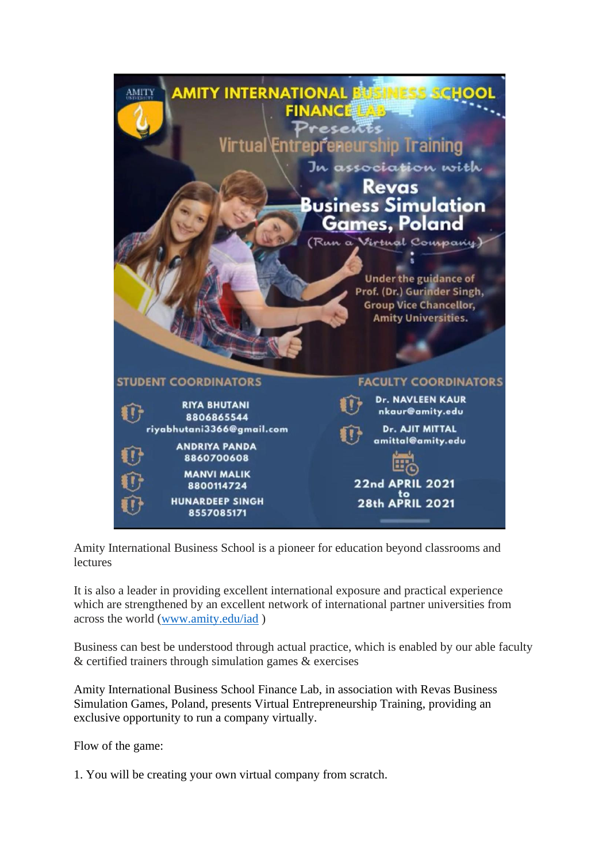

Amity International Business School is a pioneer for education beyond classrooms and lectures

It is also a leader in providing excellent international exposure and practical experience which are strengthened by an excellent network of international partner universities from across the world [\(www.amity.edu/iad](http://www.amity.edu/iad) )

Business can best be understood through actual practice, which is enabled by our able faculty & certified trainers through simulation games & exercises

Amity International Business School Finance Lab, in association with Revas Business Simulation Games, Poland, presents Virtual Entrepreneurship Training, providing an exclusive opportunity to run a company virtually.

Flow of the game:

1. You will be creating your own virtual company from scratch.